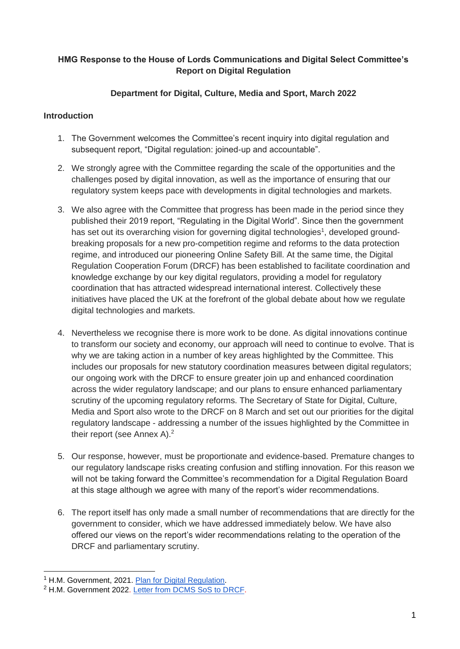# **HMG Response to the House of Lords Communications and Digital Select Committee's Report on Digital Regulation**

# **Department for Digital, Culture, Media and Sport, March 2022**

## **Introduction**

- 1. The Government welcomes the Committee's recent inquiry into digital regulation and subsequent report, "Digital regulation: joined-up and accountable".
- 2. We strongly agree with the Committee regarding the scale of the opportunities and the challenges posed by digital innovation, as well as the importance of ensuring that our regulatory system keeps pace with developments in digital technologies and markets.
- 3. We also agree with the Committee that progress has been made in the period since they published their 2019 report, "Regulating in the Digital World". Since then the government has set out its overarching vision for governing digital technologies<sup>1</sup>, developed groundbreaking proposals for a new pro-competition regime and reforms to the data protection regime, and introduced our pioneering Online Safety Bill. At the same time, the Digital Regulation Cooperation Forum (DRCF) has been established to facilitate coordination and knowledge exchange by our key digital regulators, providing a model for regulatory coordination that has attracted widespread international interest. Collectively these initiatives have placed the UK at the forefront of the global debate about how we regulate digital technologies and markets.
- 4. Nevertheless we recognise there is more work to be done. As digital innovations continue to transform our society and economy, our approach will need to continue to evolve. That is why we are taking action in a number of key areas highlighted by the Committee. This includes our proposals for new statutory coordination measures between digital regulators; our ongoing work with the DRCF to ensure greater join up and enhanced coordination across the wider regulatory landscape; and our plans to ensure enhanced parliamentary scrutiny of the upcoming regulatory reforms. The Secretary of State for Digital, Culture, Media and Sport also wrote to the DRCF on 8 March and set out our priorities for the digital regulatory landscape - addressing a number of the issues highlighted by the Committee in their report (see Annex A).<sup>2</sup>
- 5. Our response, however, must be proportionate and evidence-based. Premature changes to our regulatory landscape risks creating confusion and stifling innovation. For this reason we will not be taking forward the Committee's recommendation for a Digital Regulation Board at this stage although we agree with many of the report's wider recommendations.
- 6. The report itself has only made a small number of recommendations that are directly for the government to consider, which we have addressed immediately below. We have also offered our views on the report's wider recommendations relating to the operation of the DRCF and parliamentary scrutiny.

-

<sup>&</sup>lt;sup>1</sup> H.M. Government, 2021. [Plan for Digital Regulation.](https://www.gov.uk/government/publications/digital-regulation-driving-growth-and-unlocking-innovation/digital-regulation-driving-growth-and-unlocking-innovation)

<sup>2</sup> H.M. Government 2022. [Letter from DCMS SoS to DRCF.](https://www.gov.uk/government/publications/letter-from-dcms-secretary-of-state-to-the-digital-regulation-cooperation-forum)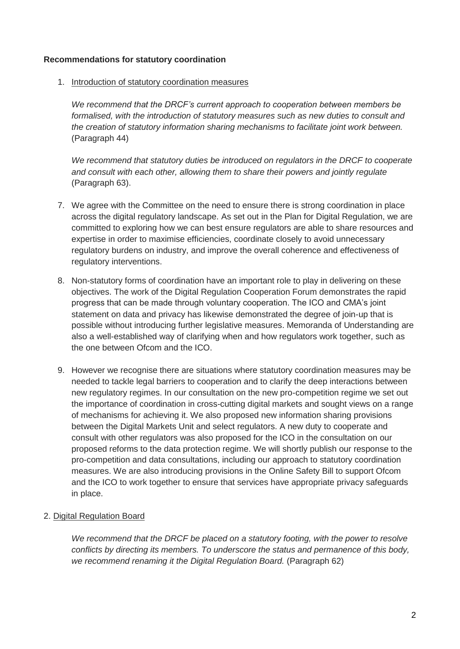#### **Recommendations for statutory coordination**

1. Introduction of statutory coordination measures

*We recommend that the DRCF's current approach to cooperation between members be*  formalised, with the introduction of statutory measures such as new duties to consult and *the creation of statutory information sharing mechanisms to facilitate joint work between.* (Paragraph 44)

*We recommend that statutory duties be introduced on regulators in the DRCF to cooperate and consult with each other, allowing them to share their powers and jointly regulate*  (Paragraph 63).

- 7. We agree with the Committee on the need to ensure there is strong coordination in place across the digital regulatory landscape. As set out in the Plan for Digital Regulation, we are committed to exploring how we can best ensure regulators are able to share resources and expertise in order to maximise efficiencies, coordinate closely to avoid unnecessary regulatory burdens on industry, and improve the overall coherence and effectiveness of regulatory interventions.
- 8. Non-statutory forms of coordination have an important role to play in delivering on these objectives. The work of the Digital Regulation Cooperation Forum demonstrates the rapid progress that can be made through voluntary cooperation. The ICO and CMA's joint statement on data and privacy has likewise demonstrated the degree of join-up that is possible without introducing further legislative measures. Memoranda of Understanding are also a well-established way of clarifying when and how regulators work together, such as the one between Ofcom and the ICO.
- 9. However we recognise there are situations where statutory coordination measures may be needed to tackle legal barriers to cooperation and to clarify the deep interactions between new regulatory regimes. In our consultation on the new pro-competition regime we set out the importance of coordination in cross-cutting digital markets and sought views on a range of mechanisms for achieving it. We also proposed new information sharing provisions between the Digital Markets Unit and select regulators. A new duty to cooperate and consult with other regulators was also proposed for the ICO in the consultation on our proposed reforms to the data protection regime. We will shortly publish our response to the pro-competition and data consultations, including our approach to statutory coordination measures. We are also introducing provisions in the Online Safety Bill to support Ofcom and the ICO to work together to ensure that services have appropriate privacy safeguards in place.
- 2. Digital Regulation Board

*We recommend that the DRCF be placed on a statutory footing, with the power to resolve conflicts by directing its members. To underscore the status and permanence of this body, we recommend renaming it the Digital Regulation Board.* (Paragraph 62)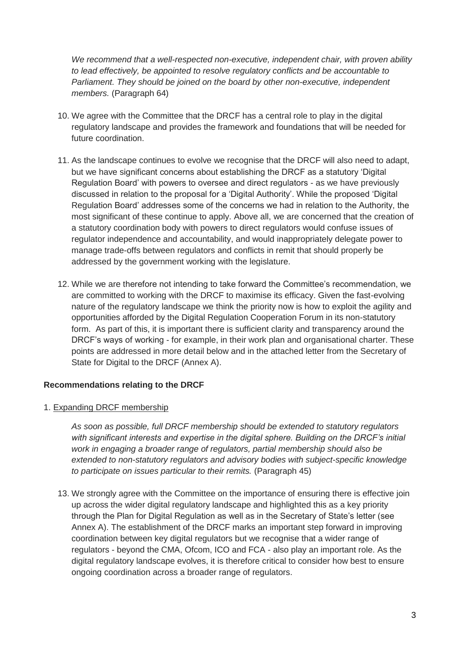*We recommend that a well-respected non-executive, independent chair, with proven ability to lead effectively, be appointed to resolve regulatory conflicts and be accountable to Parliament. They should be joined on the board by other non-executive, independent members.* (Paragraph 64)

- 10. We agree with the Committee that the DRCF has a central role to play in the digital regulatory landscape and provides the framework and foundations that will be needed for future coordination.
- 11. As the landscape continues to evolve we recognise that the DRCF will also need to adapt, but we have significant concerns about establishing the DRCF as a statutory 'Digital Regulation Board' with powers to oversee and direct regulators - as we have previously discussed in relation to the proposal for a 'Digital Authority'. While the proposed 'Digital Regulation Board' addresses some of the concerns we had in relation to the Authority, the most significant of these continue to apply. Above all, we are concerned that the creation of a statutory coordination body with powers to direct regulators would confuse issues of regulator independence and accountability, and would inappropriately delegate power to manage trade-offs between regulators and conflicts in remit that should properly be addressed by the government working with the legislature.
- 12. While we are therefore not intending to take forward the Committee's recommendation, we are committed to working with the DRCF to maximise its efficacy. Given the fast-evolving nature of the regulatory landscape we think the priority now is how to exploit the agility and opportunities afforded by the Digital Regulation Cooperation Forum in its non-statutory form. As part of this, it is important there is sufficient clarity and transparency around the DRCF's ways of working - for example, in their work plan and organisational charter. These points are addressed in more detail below and in the attached letter from the Secretary of State for Digital to the DRCF (Annex A).

## **Recommendations relating to the DRCF**

## 1. Expanding DRCF membership

*As soon as possible, full DRCF membership should be extended to statutory regulators with significant interests and expertise in the digital sphere. Building on the DRCF's initial work in engaging a broader range of regulators, partial membership should also be extended to non-statutory regulators and advisory bodies with subject-specific knowledge to participate on issues particular to their remits.* (Paragraph 45)

13. We strongly agree with the Committee on the importance of ensuring there is effective join up across the wider digital regulatory landscape and highlighted this as a key priority through the Plan for Digital Regulation as well as in the Secretary of State's letter (see Annex A). The establishment of the DRCF marks an important step forward in improving coordination between key digital regulators but we recognise that a wider range of regulators - beyond the CMA, Ofcom, ICO and FCA - also play an important role. As the digital regulatory landscape evolves, it is therefore critical to consider how best to ensure ongoing coordination across a broader range of regulators.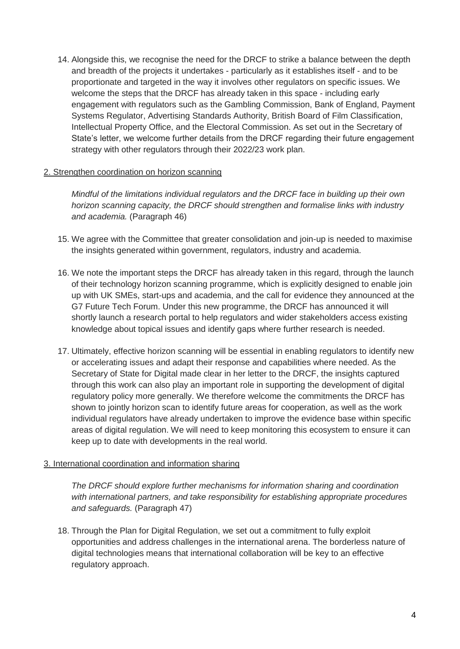14. Alongside this, we recognise the need for the DRCF to strike a balance between the depth and breadth of the projects it undertakes - particularly as it establishes itself - and to be proportionate and targeted in the way it involves other regulators on specific issues. We welcome the steps that the DRCF has already taken in this space - including early engagement with regulators such as the Gambling Commission, Bank of England, Payment Systems Regulator, Advertising Standards Authority, British Board of Film Classification, Intellectual Property Office, and the Electoral Commission. As set out in the Secretary of State's letter, we welcome further details from the DRCF regarding their future engagement strategy with other regulators through their 2022/23 work plan.

#### 2. Strengthen coordination on horizon scanning

*Mindful of the limitations individual regulators and the DRCF face in building up their own horizon scanning capacity, the DRCF should strengthen and formalise links with industry and academia.* (Paragraph 46)

- 15. We agree with the Committee that greater consolidation and join-up is needed to maximise the insights generated within government, regulators, industry and academia.
- 16. We note the important steps the DRCF has already taken in this regard, through the launch of their technology horizon scanning programme, which is explicitly designed to enable join up with UK SMEs, start-ups and academia, and the call for evidence they announced at the G7 Future Tech Forum. Under this new programme, the DRCF has announced it will shortly launch a research portal to help regulators and wider stakeholders access existing knowledge about topical issues and identify gaps where further research is needed.
- 17. Ultimately, effective horizon scanning will be essential in enabling regulators to identify new or accelerating issues and adapt their response and capabilities where needed. As the Secretary of State for Digital made clear in her letter to the DRCF, the insights captured through this work can also play an important role in supporting the development of digital regulatory policy more generally. We therefore welcome the commitments the DRCF has shown to jointly horizon scan to identify future areas for cooperation, as well as the work individual regulators have already undertaken to improve the evidence base within specific areas of digital regulation. We will need to keep monitoring this ecosystem to ensure it can keep up to date with developments in the real world.

#### 3. International coordination and information sharing

*The DRCF should explore further mechanisms for information sharing and coordination with international partners, and take responsibility for establishing appropriate procedures and safeguards.* (Paragraph 47)

18. Through the Plan for Digital Regulation, we set out a commitment to fully exploit opportunities and address challenges in the international arena. The borderless nature of digital technologies means that international collaboration will be key to an effective regulatory approach.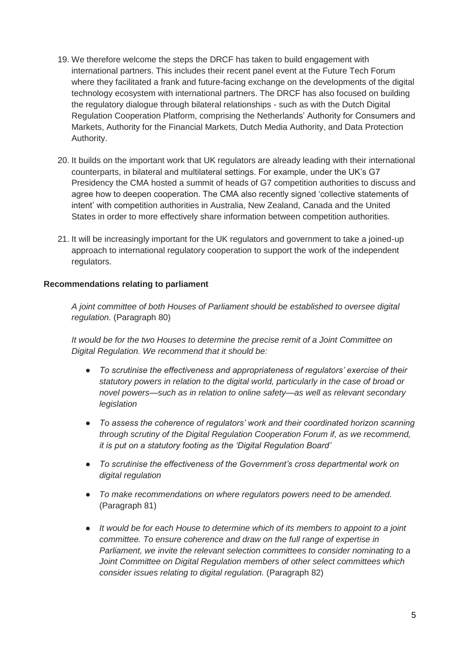- 19. We therefore welcome the steps the DRCF has taken to build engagement with international partners. This includes their recent panel event at the Future Tech Forum where they facilitated a frank and future-facing exchange on the developments of the digital technology ecosystem with international partners. The DRCF has also focused on building the regulatory dialogue through bilateral relationships - such as with the Dutch Digital Regulation Cooperation Platform, comprising the Netherlands' Authority for Consumers and Markets, Authority for the Financial Markets, Dutch Media Authority, and Data Protection Authority.
- 20. It builds on the important work that UK regulators are already leading with their international counterparts, in bilateral and multilateral settings. For example, under the UK's G7 Presidency the CMA hosted a summit of heads of G7 competition authorities to discuss and agree how to deepen cooperation. The CMA also recently signed 'collective statements of intent' with competition authorities in Australia, New Zealand, Canada and the United States in order to more effectively share information between competition authorities.
- 21. It will be increasingly important for the UK regulators and government to take a joined-up approach to international regulatory cooperation to support the work of the independent regulators.

## **Recommendations relating to parliament**

*A joint committee of both Houses of Parliament should be established to oversee digital regulation.* (Paragraph 80)

*It would be for the two Houses to determine the precise remit of a Joint Committee on Digital Regulation. We recommend that it should be:*

- *To scrutinise the effectiveness and appropriateness of regulators' exercise of their statutory powers in relation to the digital world, particularly in the case of broad or novel powers—such as in relation to online safety—as well as relevant secondary legislation*
- *To assess the coherence of regulators' work and their coordinated horizon scanning through scrutiny of the Digital Regulation Cooperation Forum if, as we recommend, it is put on a statutory footing as the 'Digital Regulation Board'*
- *To scrutinise the effectiveness of the Government's cross departmental work on digital regulation*
- *To make recommendations on where regulators powers need to be amended.*  (Paragraph 81)
- *It would be for each House to determine which of its members to appoint to a joint committee. To ensure coherence and draw on the full range of expertise in Parliament, we invite the relevant selection committees to consider nominating to a Joint Committee on Digital Regulation members of other select committees which consider issues relating to digital regulation.* (Paragraph 82)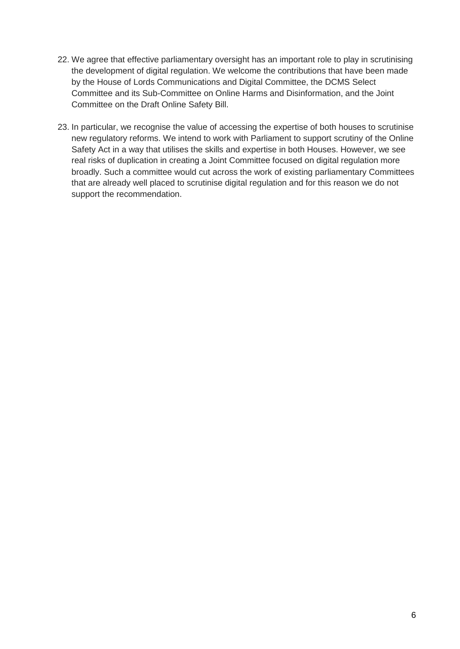- 22. We agree that effective parliamentary oversight has an important role to play in scrutinising the development of digital regulation. We welcome the contributions that have been made by the House of Lords Communications and Digital Committee, the DCMS Select Committee and its Sub-Committee on Online Harms and Disinformation, and the Joint Committee on the Draft Online Safety Bill.
- 23. In particular, we recognise the value of accessing the expertise of both houses to scrutinise new regulatory reforms. We intend to work with Parliament to support scrutiny of the Online Safety Act in a way that utilises the skills and expertise in both Houses. However, we see real risks of duplication in creating a Joint Committee focused on digital regulation more broadly. Such a committee would cut across the work of existing parliamentary Committees that are already well placed to scrutinise digital regulation and for this reason we do not support the recommendation.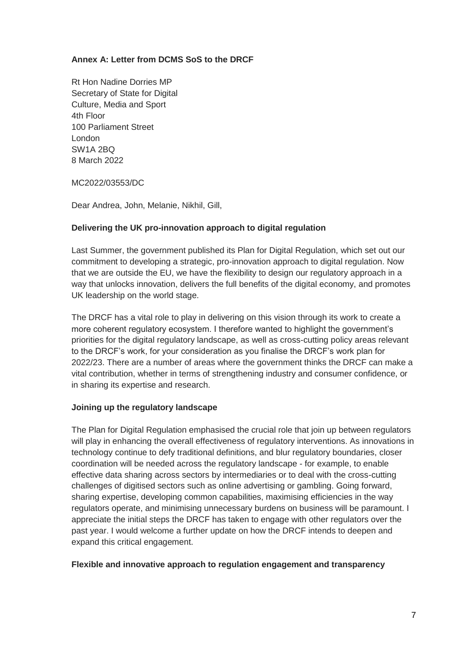## **Annex A: Letter from DCMS SoS to the DRCF**

Rt Hon Nadine Dorries MP Secretary of State for Digital Culture, Media and Sport 4th Floor 100 Parliament Street London SW1A 2BQ 8 March 2022

MC2022/03553/DC

Dear Andrea, John, Melanie, Nikhil, Gill,

## **Delivering the UK pro-innovation approach to digital regulation**

Last Summer, the government published its Plan for Digital Regulation, which set out our commitment to developing a strategic, pro-innovation approach to digital regulation. Now that we are outside the EU, we have the flexibility to design our regulatory approach in a way that unlocks innovation, delivers the full benefits of the digital economy, and promotes UK leadership on the world stage.

The DRCF has a vital role to play in delivering on this vision through its work to create a more coherent regulatory ecosystem. I therefore wanted to highlight the government's priorities for the digital regulatory landscape, as well as cross-cutting policy areas relevant to the DRCF's work, for your consideration as you finalise the DRCF's work plan for 2022/23. There are a number of areas where the government thinks the DRCF can make a vital contribution, whether in terms of strengthening industry and consumer confidence, or in sharing its expertise and research.

#### **Joining up the regulatory landscape**

The Plan for Digital Regulation emphasised the crucial role that join up between regulators will play in enhancing the overall effectiveness of regulatory interventions. As innovations in technology continue to defy traditional definitions, and blur regulatory boundaries, closer coordination will be needed across the regulatory landscape - for example, to enable effective data sharing across sectors by intermediaries or to deal with the cross-cutting challenges of digitised sectors such as online advertising or gambling. Going forward, sharing expertise, developing common capabilities, maximising efficiencies in the way regulators operate, and minimising unnecessary burdens on business will be paramount. I appreciate the initial steps the DRCF has taken to engage with other regulators over the past year. I would welcome a further update on how the DRCF intends to deepen and expand this critical engagement.

#### **Flexible and innovative approach to regulation engagement and transparency**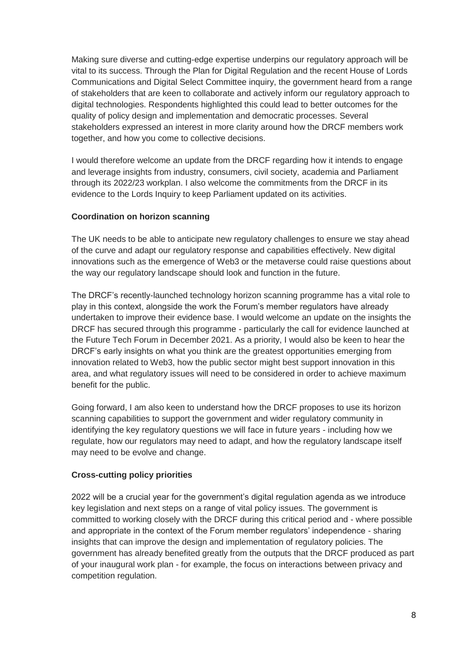Making sure diverse and cutting-edge expertise underpins our regulatory approach will be vital to its success. Through the Plan for Digital Regulation and the recent House of Lords Communications and Digital Select Committee inquiry, the government heard from a range of stakeholders that are keen to collaborate and actively inform our regulatory approach to digital technologies. Respondents highlighted this could lead to better outcomes for the quality of policy design and implementation and democratic processes. Several stakeholders expressed an interest in more clarity around how the DRCF members work together, and how you come to collective decisions.

I would therefore welcome an update from the DRCF regarding how it intends to engage and leverage insights from industry, consumers, civil society, academia and Parliament through its 2022/23 workplan. I also welcome the commitments from the DRCF in its evidence to the Lords Inquiry to keep Parliament updated on its activities.

#### **Coordination on horizon scanning**

The UK needs to be able to anticipate new regulatory challenges to ensure we stay ahead of the curve and adapt our regulatory response and capabilities effectively. New digital innovations such as the emergence of Web3 or the metaverse could raise questions about the way our regulatory landscape should look and function in the future.

The DRCF's recently-launched technology horizon scanning programme has a vital role to play in this context, alongside the work the Forum's member regulators have already undertaken to improve their evidence base. I would welcome an update on the insights the DRCF has secured through this programme - particularly the call for evidence launched at the Future Tech Forum in December 2021. As a priority, I would also be keen to hear the DRCF's early insights on what you think are the greatest opportunities emerging from innovation related to Web3, how the public sector might best support innovation in this area, and what regulatory issues will need to be considered in order to achieve maximum benefit for the public.

Going forward, I am also keen to understand how the DRCF proposes to use its horizon scanning capabilities to support the government and wider regulatory community in identifying the key regulatory questions we will face in future years - including how we regulate, how our regulators may need to adapt, and how the regulatory landscape itself may need to be evolve and change.

## **Cross-cutting policy priorities**

2022 will be a crucial year for the government's digital regulation agenda as we introduce key legislation and next steps on a range of vital policy issues. The government is committed to working closely with the DRCF during this critical period and - where possible and appropriate in the context of the Forum member regulators' independence - sharing insights that can improve the design and implementation of regulatory policies. The government has already benefited greatly from the outputs that the DRCF produced as part of your inaugural work plan - for example, the focus on interactions between privacy and competition regulation.